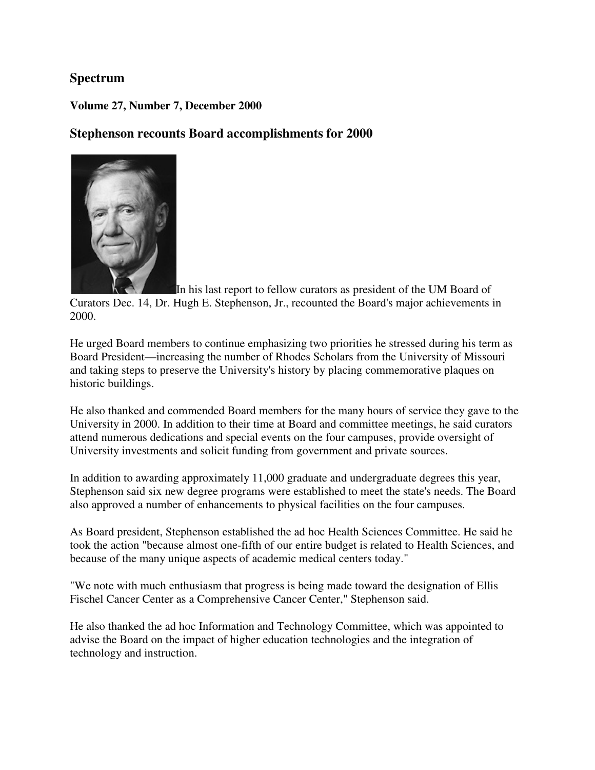#### **Spectrum**

#### **Volume 27, Number 7, December 2000**

#### **Stephenson recounts Board accomplishments for 2000**



In his last report to fellow curators as president of the UM Board of Curators Dec. 14, Dr. Hugh E. Stephenson, Jr., recounted the Board's major achievements in 2000.

He urged Board members to continue emphasizing two priorities he stressed during his term as Board President—increasing the number of Rhodes Scholars from the University of Missouri and taking steps to preserve the University's history by placing commemorative plaques on historic buildings.

He also thanked and commended Board members for the many hours of service they gave to the University in 2000. In addition to their time at Board and committee meetings, he said curators attend numerous dedications and special events on the four campuses, provide oversight of University investments and solicit funding from government and private sources.

In addition to awarding approximately 11,000 graduate and undergraduate degrees this year, Stephenson said six new degree programs were established to meet the state's needs. The Board also approved a number of enhancements to physical facilities on the four campuses.

As Board president, Stephenson established the ad hoc Health Sciences Committee. He said he took the action "because almost one-fifth of our entire budget is related to Health Sciences, and because of the many unique aspects of academic medical centers today."

"We note with much enthusiasm that progress is being made toward the designation of Ellis Fischel Cancer Center as a Comprehensive Cancer Center," Stephenson said.

He also thanked the ad hoc Information and Technology Committee, which was appointed to advise the Board on the impact of higher education technologies and the integration of technology and instruction.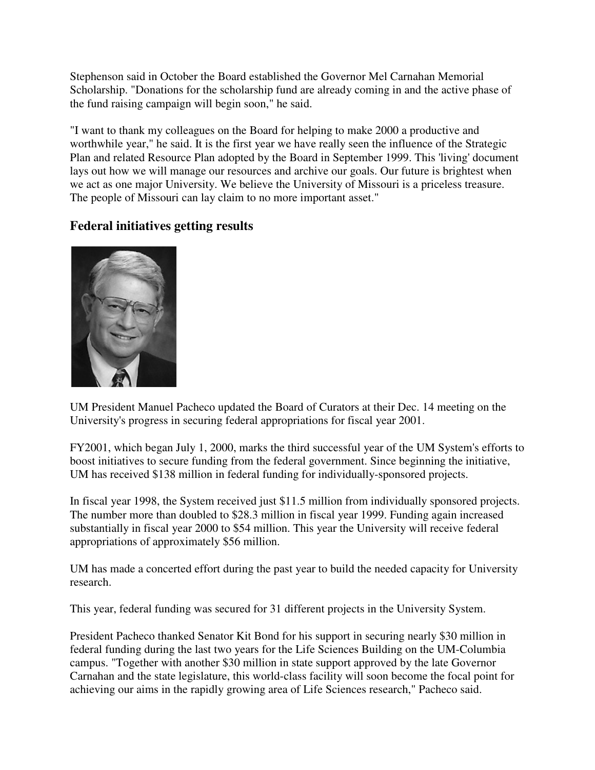Stephenson said in October the Board established the Governor Mel Carnahan Memorial Scholarship. "Donations for the scholarship fund are already coming in and the active phase of the fund raising campaign will begin soon," he said.

"I want to thank my colleagues on the Board for helping to make 2000 a productive and worthwhile year," he said. It is the first year we have really seen the influence of the Strategic Plan and related Resource Plan adopted by the Board in September 1999. This 'living' document lays out how we will manage our resources and archive our goals. Our future is brightest when we act as one major University. We believe the University of Missouri is a priceless treasure. The people of Missouri can lay claim to no more important asset."

## **Federal initiatives getting results**



UM President Manuel Pacheco updated the Board of Curators at their Dec. 14 meeting on the University's progress in securing federal appropriations for fiscal year 2001.

FY2001, which began July 1, 2000, marks the third successful year of the UM System's efforts to boost initiatives to secure funding from the federal government. Since beginning the initiative, UM has received \$138 million in federal funding for individually-sponsored projects.

In fiscal year 1998, the System received just \$11.5 million from individually sponsored projects. The number more than doubled to \$28.3 million in fiscal year 1999. Funding again increased substantially in fiscal year 2000 to \$54 million. This year the University will receive federal appropriations of approximately \$56 million.

UM has made a concerted effort during the past year to build the needed capacity for University research.

This year, federal funding was secured for 31 different projects in the University System.

President Pacheco thanked Senator Kit Bond for his support in securing nearly \$30 million in federal funding during the last two years for the Life Sciences Building on the UM-Columbia campus. "Together with another \$30 million in state support approved by the late Governor Carnahan and the state legislature, this world-class facility will soon become the focal point for achieving our aims in the rapidly growing area of Life Sciences research," Pacheco said.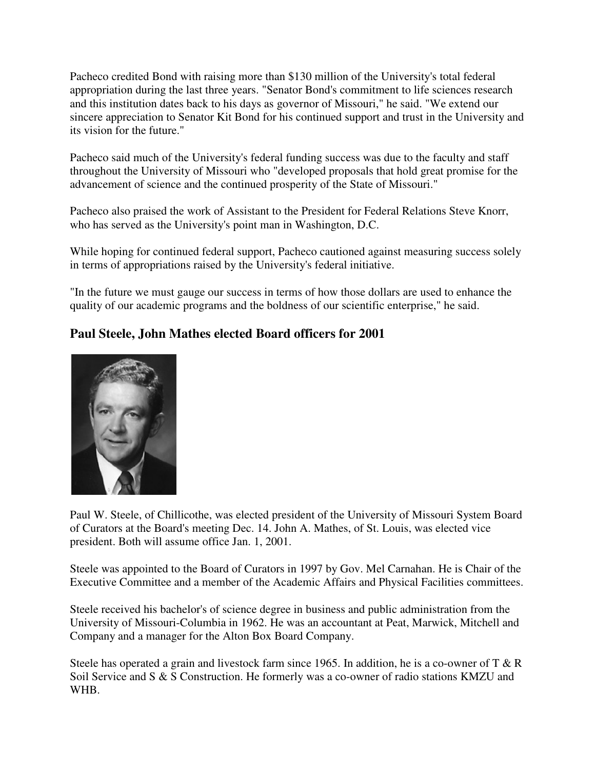Pacheco credited Bond with raising more than \$130 million of the University's total federal appropriation during the last three years. "Senator Bond's commitment to life sciences research and this institution dates back to his days as governor of Missouri," he said. "We extend our sincere appreciation to Senator Kit Bond for his continued support and trust in the University and its vision for the future."

Pacheco said much of the University's federal funding success was due to the faculty and staff throughout the University of Missouri who "developed proposals that hold great promise for the advancement of science and the continued prosperity of the State of Missouri."

Pacheco also praised the work of Assistant to the President for Federal Relations Steve Knorr, who has served as the University's point man in Washington, D.C.

While hoping for continued federal support, Pacheco cautioned against measuring success solely in terms of appropriations raised by the University's federal initiative.

"In the future we must gauge our success in terms of how those dollars are used to enhance the quality of our academic programs and the boldness of our scientific enterprise," he said.

## **Paul Steele, John Mathes elected Board officers for 2001**



Paul W. Steele, of Chillicothe, was elected president of the University of Missouri System Board of Curators at the Board's meeting Dec. 14. John A. Mathes, of St. Louis, was elected vice president. Both will assume office Jan. 1, 2001.

Steele was appointed to the Board of Curators in 1997 by Gov. Mel Carnahan. He is Chair of the Executive Committee and a member of the Academic Affairs and Physical Facilities committees.

Steele received his bachelor's of science degree in business and public administration from the University of Missouri-Columbia in 1962. He was an accountant at Peat, Marwick, Mitchell and Company and a manager for the Alton Box Board Company.

Steele has operated a grain and livestock farm since 1965. In addition, he is a co-owner of T & R Soil Service and S & S Construction. He formerly was a co-owner of radio stations KMZU and WHB.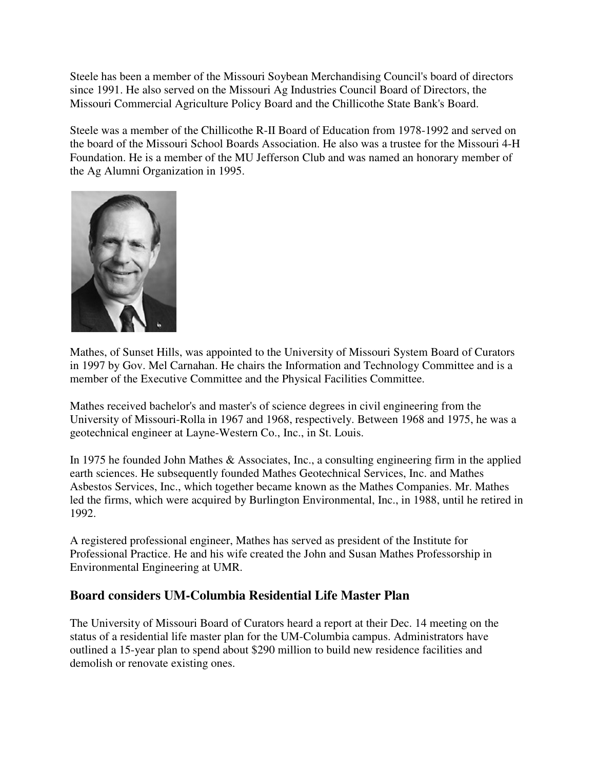Steele has been a member of the Missouri Soybean Merchandising Council's board of directors since 1991. He also served on the Missouri Ag Industries Council Board of Directors, the Missouri Commercial Agriculture Policy Board and the Chillicothe State Bank's Board.

Steele was a member of the Chillicothe R-II Board of Education from 1978-1992 and served on the board of the Missouri School Boards Association. He also was a trustee for the Missouri 4-H Foundation. He is a member of the MU Jefferson Club and was named an honorary member of the Ag Alumni Organization in 1995.



Mathes, of Sunset Hills, was appointed to the University of Missouri System Board of Curators in 1997 by Gov. Mel Carnahan. He chairs the Information and Technology Committee and is a member of the Executive Committee and the Physical Facilities Committee.

Mathes received bachelor's and master's of science degrees in civil engineering from the University of Missouri-Rolla in 1967 and 1968, respectively. Between 1968 and 1975, he was a geotechnical engineer at Layne-Western Co., Inc., in St. Louis.

In 1975 he founded John Mathes & Associates, Inc., a consulting engineering firm in the applied earth sciences. He subsequently founded Mathes Geotechnical Services, Inc. and Mathes Asbestos Services, Inc., which together became known as the Mathes Companies. Mr. Mathes led the firms, which were acquired by Burlington Environmental, Inc., in 1988, until he retired in 1992.

A registered professional engineer, Mathes has served as president of the Institute for Professional Practice. He and his wife created the John and Susan Mathes Professorship in Environmental Engineering at UMR.

## **Board considers UM-Columbia Residential Life Master Plan**

The University of Missouri Board of Curators heard a report at their Dec. 14 meeting on the status of a residential life master plan for the UM-Columbia campus. Administrators have outlined a 15-year plan to spend about \$290 million to build new residence facilities and demolish or renovate existing ones.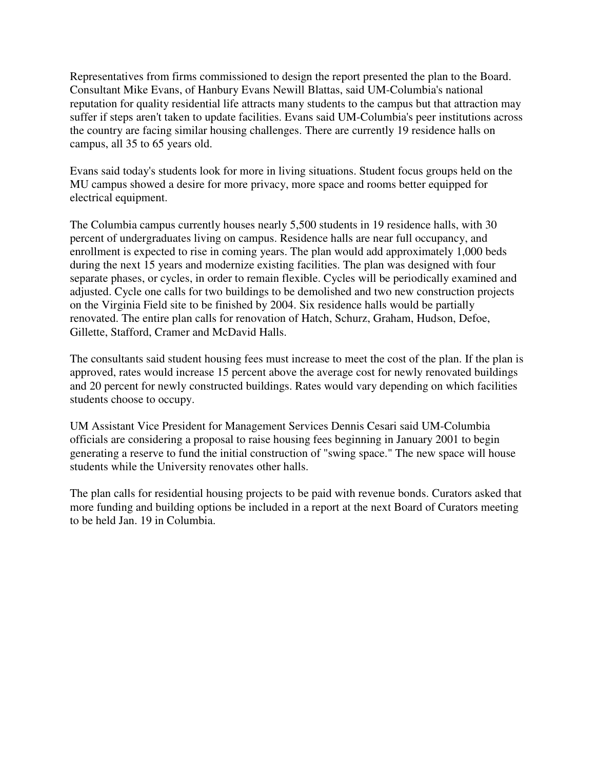Representatives from firms commissioned to design the report presented the plan to the Board. Consultant Mike Evans, of Hanbury Evans Newill Blattas, said UM-Columbia's national reputation for quality residential life attracts many students to the campus but that attraction may suffer if steps aren't taken to update facilities. Evans said UM-Columbia's peer institutions across the country are facing similar housing challenges. There are currently 19 residence halls on campus, all 35 to 65 years old.

Evans said today's students look for more in living situations. Student focus groups held on the MU campus showed a desire for more privacy, more space and rooms better equipped for electrical equipment.

The Columbia campus currently houses nearly 5,500 students in 19 residence halls, with 30 percent of undergraduates living on campus. Residence halls are near full occupancy, and enrollment is expected to rise in coming years. The plan would add approximately 1,000 beds during the next 15 years and modernize existing facilities. The plan was designed with four separate phases, or cycles, in order to remain flexible. Cycles will be periodically examined and adjusted. Cycle one calls for two buildings to be demolished and two new construction projects on the Virginia Field site to be finished by 2004. Six residence halls would be partially renovated. The entire plan calls for renovation of Hatch, Schurz, Graham, Hudson, Defoe, Gillette, Stafford, Cramer and McDavid Halls.

The consultants said student housing fees must increase to meet the cost of the plan. If the plan is approved, rates would increase 15 percent above the average cost for newly renovated buildings and 20 percent for newly constructed buildings. Rates would vary depending on which facilities students choose to occupy.

UM Assistant Vice President for Management Services Dennis Cesari said UM-Columbia officials are considering a proposal to raise housing fees beginning in January 2001 to begin generating a reserve to fund the initial construction of "swing space." The new space will house students while the University renovates other halls.

The plan calls for residential housing projects to be paid with revenue bonds. Curators asked that more funding and building options be included in a report at the next Board of Curators meeting to be held Jan. 19 in Columbia.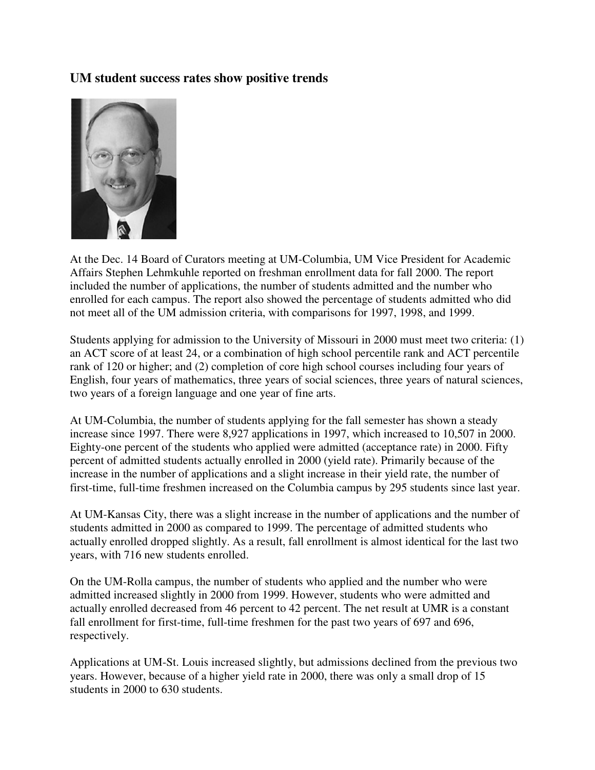### **UM student success rates show positive trends**



At the Dec. 14 Board of Curators meeting at UM-Columbia, UM Vice President for Academic Affairs Stephen Lehmkuhle reported on freshman enrollment data for fall 2000. The report included the number of applications, the number of students admitted and the number who enrolled for each campus. The report also showed the percentage of students admitted who did not meet all of the UM admission criteria, with comparisons for 1997, 1998, and 1999.

Students applying for admission to the University of Missouri in 2000 must meet two criteria: (1) an ACT score of at least 24, or a combination of high school percentile rank and ACT percentile rank of 120 or higher; and (2) completion of core high school courses including four years of English, four years of mathematics, three years of social sciences, three years of natural sciences, two years of a foreign language and one year of fine arts.

At UM-Columbia, the number of students applying for the fall semester has shown a steady increase since 1997. There were 8,927 applications in 1997, which increased to 10,507 in 2000. Eighty-one percent of the students who applied were admitted (acceptance rate) in 2000. Fifty percent of admitted students actually enrolled in 2000 (yield rate). Primarily because of the increase in the number of applications and a slight increase in their yield rate, the number of first-time, full-time freshmen increased on the Columbia campus by 295 students since last year.

At UM-Kansas City, there was a slight increase in the number of applications and the number of students admitted in 2000 as compared to 1999. The percentage of admitted students who actually enrolled dropped slightly. As a result, fall enrollment is almost identical for the last two years, with 716 new students enrolled.

On the UM-Rolla campus, the number of students who applied and the number who were admitted increased slightly in 2000 from 1999. However, students who were admitted and actually enrolled decreased from 46 percent to 42 percent. The net result at UMR is a constant fall enrollment for first-time, full-time freshmen for the past two years of 697 and 696, respectively.

Applications at UM-St. Louis increased slightly, but admissions declined from the previous two years. However, because of a higher yield rate in 2000, there was only a small drop of 15 students in 2000 to 630 students.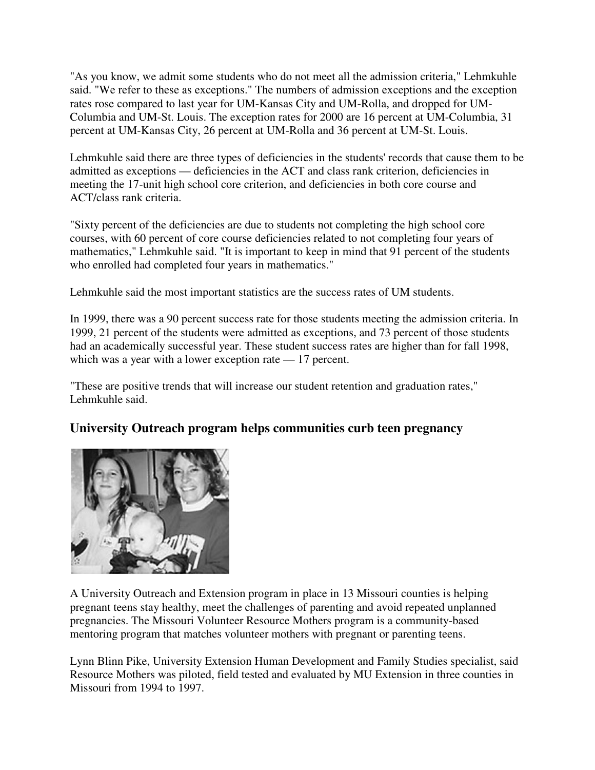"As you know, we admit some students who do not meet all the admission criteria," Lehmkuhle said. "We refer to these as exceptions." The numbers of admission exceptions and the exception rates rose compared to last year for UM-Kansas City and UM-Rolla, and dropped for UM-Columbia and UM-St. Louis. The exception rates for 2000 are 16 percent at UM-Columbia, 31 percent at UM-Kansas City, 26 percent at UM-Rolla and 36 percent at UM-St. Louis.

Lehmkuhle said there are three types of deficiencies in the students' records that cause them to be admitted as exceptions — deficiencies in the ACT and class rank criterion, deficiencies in meeting the 17-unit high school core criterion, and deficiencies in both core course and ACT/class rank criteria.

"Sixty percent of the deficiencies are due to students not completing the high school core courses, with 60 percent of core course deficiencies related to not completing four years of mathematics," Lehmkuhle said. "It is important to keep in mind that 91 percent of the students who enrolled had completed four years in mathematics."

Lehmkuhle said the most important statistics are the success rates of UM students.

In 1999, there was a 90 percent success rate for those students meeting the admission criteria. In 1999, 21 percent of the students were admitted as exceptions, and 73 percent of those students had an academically successful year. These student success rates are higher than for fall 1998, which was a year with a lower exception rate — 17 percent.

"These are positive trends that will increase our student retention and graduation rates," Lehmkuhle said.

## **University Outreach program helps communities curb teen pregnancy**



A University Outreach and Extension program in place in 13 Missouri counties is helping pregnant teens stay healthy, meet the challenges of parenting and avoid repeated unplanned pregnancies. The Missouri Volunteer Resource Mothers program is a community-based mentoring program that matches volunteer mothers with pregnant or parenting teens.

Lynn Blinn Pike, University Extension Human Development and Family Studies specialist, said Resource Mothers was piloted, field tested and evaluated by MU Extension in three counties in Missouri from 1994 to 1997.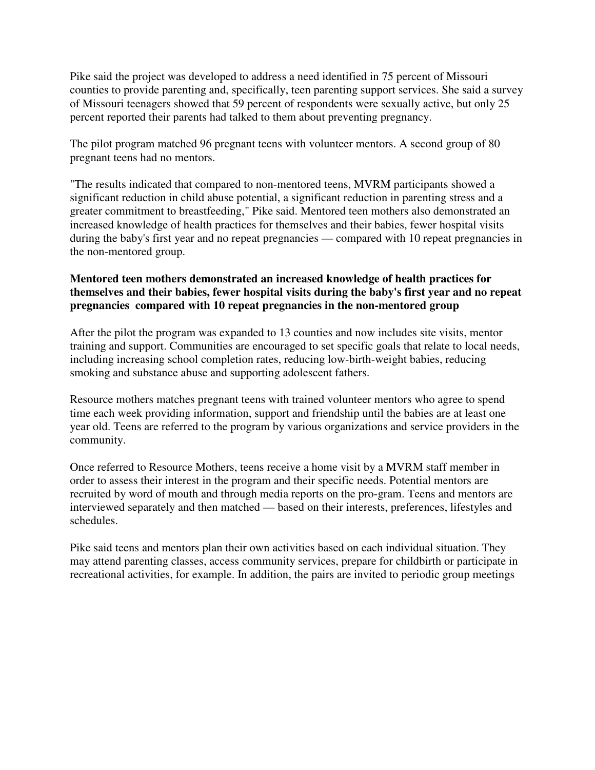Pike said the project was developed to address a need identified in 75 percent of Missouri counties to provide parenting and, specifically, teen parenting support services. She said a survey of Missouri teenagers showed that 59 percent of respondents were sexually active, but only 25 percent reported their parents had talked to them about preventing pregnancy.

The pilot program matched 96 pregnant teens with volunteer mentors. A second group of 80 pregnant teens had no mentors.

"The results indicated that compared to non-mentored teens, MVRM participants showed a significant reduction in child abuse potential, a significant reduction in parenting stress and a greater commitment to breastfeeding," Pike said. Mentored teen mothers also demonstrated an increased knowledge of health practices for themselves and their babies, fewer hospital visits during the baby's first year and no repeat pregnancies — compared with 10 repeat pregnancies in the non-mentored group.

#### **Mentored teen mothers demonstrated an increased knowledge of health practices for themselves and their babies, fewer hospital visits during the baby's first year and no repeat pregnancies compared with 10 repeat pregnancies in the non-mentored group**

After the pilot the program was expanded to 13 counties and now includes site visits, mentor training and support. Communities are encouraged to set specific goals that relate to local needs, including increasing school completion rates, reducing low-birth-weight babies, reducing smoking and substance abuse and supporting adolescent fathers.

Resource mothers matches pregnant teens with trained volunteer mentors who agree to spend time each week providing information, support and friendship until the babies are at least one year old. Teens are referred to the program by various organizations and service providers in the community.

Once referred to Resource Mothers, teens receive a home visit by a MVRM staff member in order to assess their interest in the program and their specific needs. Potential mentors are recruited by word of mouth and through media reports on the pro-gram. Teens and mentors are interviewed separately and then matched — based on their interests, preferences, lifestyles and schedules.

Pike said teens and mentors plan their own activities based on each individual situation. They may attend parenting classes, access community services, prepare for childbirth or participate in recreational activities, for example. In addition, the pairs are invited to periodic group meetings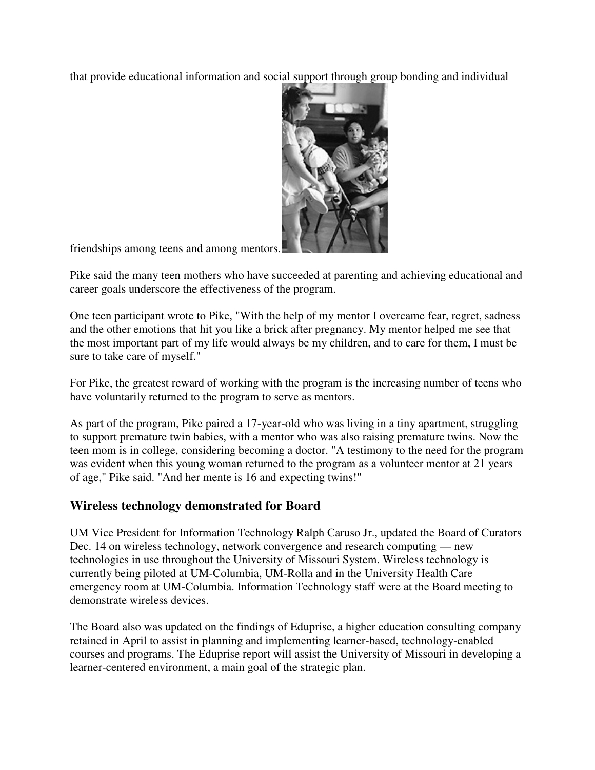that provide educational information and social support through group bonding and individual



friendships among teens and among mentors.

Pike said the many teen mothers who have succeeded at parenting and achieving educational and career goals underscore the effectiveness of the program.

One teen participant wrote to Pike, "With the help of my mentor I overcame fear, regret, sadness and the other emotions that hit you like a brick after pregnancy. My mentor helped me see that the most important part of my life would always be my children, and to care for them, I must be sure to take care of myself."

For Pike, the greatest reward of working with the program is the increasing number of teens who have voluntarily returned to the program to serve as mentors.

As part of the program, Pike paired a 17-year-old who was living in a tiny apartment, struggling to support premature twin babies, with a mentor who was also raising premature twins. Now the teen mom is in college, considering becoming a doctor. "A testimony to the need for the program was evident when this young woman returned to the program as a volunteer mentor at 21 years of age," Pike said. "And her mente is 16 and expecting twins!"

### **Wireless technology demonstrated for Board**

UM Vice President for Information Technology Ralph Caruso Jr., updated the Board of Curators Dec. 14 on wireless technology, network convergence and research computing — new technologies in use throughout the University of Missouri System. Wireless technology is currently being piloted at UM-Columbia, UM-Rolla and in the University Health Care emergency room at UM-Columbia. Information Technology staff were at the Board meeting to demonstrate wireless devices.

The Board also was updated on the findings of Eduprise, a higher education consulting company retained in April to assist in planning and implementing learner-based, technology-enabled courses and programs. The Eduprise report will assist the University of Missouri in developing a learner-centered environment, a main goal of the strategic plan.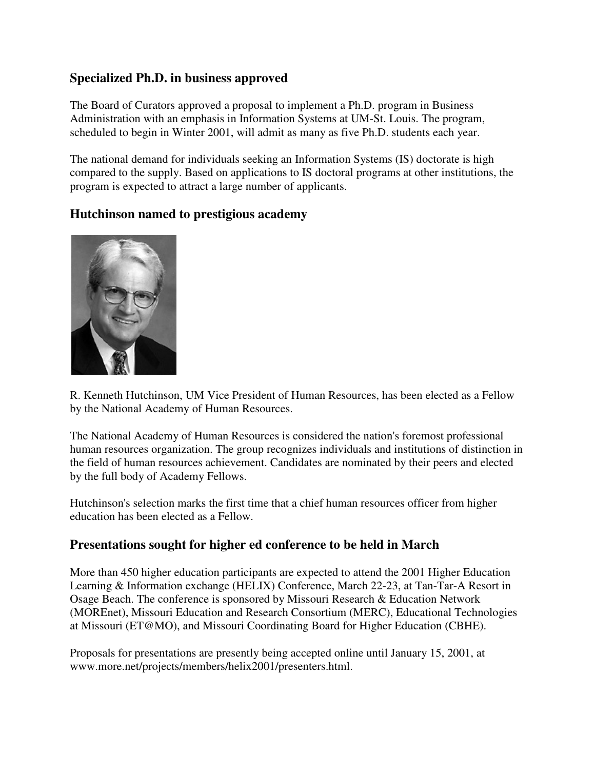## **Specialized Ph.D. in business approved**

The Board of Curators approved a proposal to implement a Ph.D. program in Business Administration with an emphasis in Information Systems at UM-St. Louis. The program, scheduled to begin in Winter 2001, will admit as many as five Ph.D. students each year.

The national demand for individuals seeking an Information Systems (IS) doctorate is high compared to the supply. Based on applications to IS doctoral programs at other institutions, the program is expected to attract a large number of applicants.

### **Hutchinson named to prestigious academy**



R. Kenneth Hutchinson, UM Vice President of Human Resources, has been elected as a Fellow by the National Academy of Human Resources.

The National Academy of Human Resources is considered the nation's foremost professional human resources organization. The group recognizes individuals and institutions of distinction in the field of human resources achievement. Candidates are nominated by their peers and elected by the full body of Academy Fellows.

Hutchinson's selection marks the first time that a chief human resources officer from higher education has been elected as a Fellow.

### **Presentations sought for higher ed conference to be held in March**

More than 450 higher education participants are expected to attend the 2001 Higher Education Learning & Information exchange (HELIX) Conference, March 22-23, at Tan-Tar-A Resort in Osage Beach. The conference is sponsored by Missouri Research & Education Network (MOREnet), Missouri Education and Research Consortium (MERC), Educational Technologies at Missouri (ET@MO), and Missouri Coordinating Board for Higher Education (CBHE).

Proposals for presentations are presently being accepted online until January 15, 2001, at www.more.net/projects/members/helix2001/presenters.html.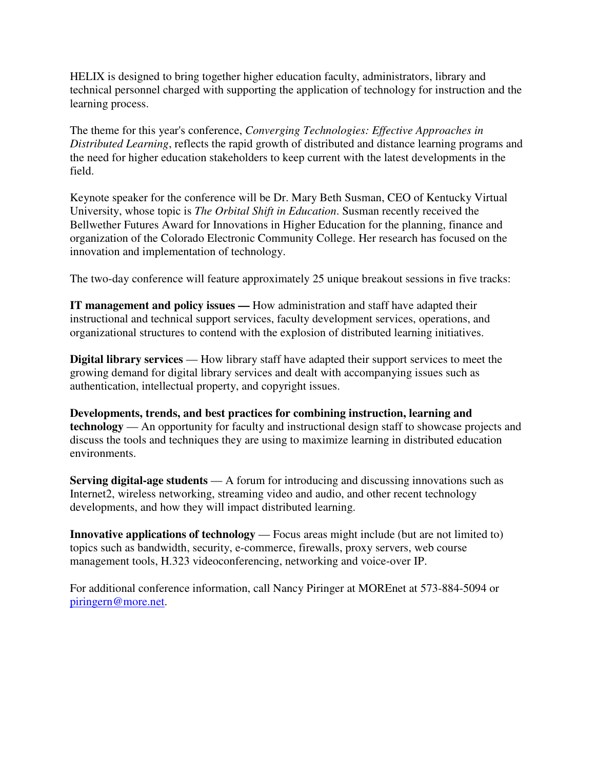HELIX is designed to bring together higher education faculty, administrators, library and technical personnel charged with supporting the application of technology for instruction and the learning process.

The theme for this year's conference, *Converging Technologies: Effective Approaches in Distributed Learning*, reflects the rapid growth of distributed and distance learning programs and the need for higher education stakeholders to keep current with the latest developments in the field.

Keynote speaker for the conference will be Dr. Mary Beth Susman, CEO of Kentucky Virtual University, whose topic is *The Orbital Shift in Education*. Susman recently received the Bellwether Futures Award for Innovations in Higher Education for the planning, finance and organization of the Colorado Electronic Community College. Her research has focused on the innovation and implementation of technology.

The two-day conference will feature approximately 25 unique breakout sessions in five tracks:

**IT management and policy issues —** How administration and staff have adapted their instructional and technical support services, faculty development services, operations, and organizational structures to contend with the explosion of distributed learning initiatives.

**Digital library services** — How library staff have adapted their support services to meet the growing demand for digital library services and dealt with accompanying issues such as authentication, intellectual property, and copyright issues.

**Developments, trends, and best practices for combining instruction, learning and technology** — An opportunity for faculty and instructional design staff to showcase projects and discuss the tools and techniques they are using to maximize learning in distributed education environments.

**Serving digital-age students** — A forum for introducing and discussing innovations such as Internet2, wireless networking, streaming video and audio, and other recent technology developments, and how they will impact distributed learning.

**Innovative applications of technology** — Focus areas might include (but are not limited to) topics such as bandwidth, security, e-commerce, firewalls, proxy servers, web course management tools, H.323 videoconferencing, networking and voice-over IP.

For additional conference information, call Nancy Piringer at MOREnet at 573-884-5094 or piringern@more.net.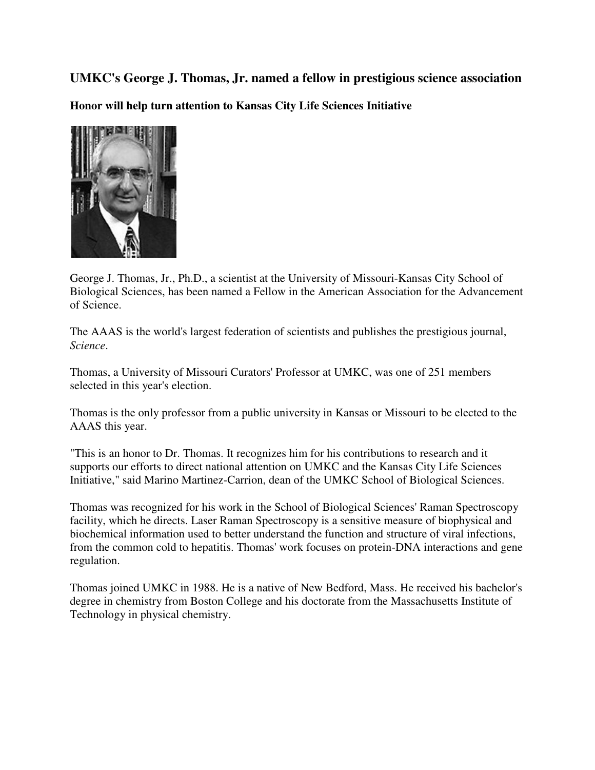**UMKC's George J. Thomas, Jr. named a fellow in prestigious science association Honor will help turn attention to Kansas City Life Sciences Initiative** 



George J. Thomas, Jr., Ph.D., a scientist at the University of Missouri-Kansas City School of Biological Sciences, has been named a Fellow in the American Association for the Advancement of Science.

The AAAS is the world's largest federation of scientists and publishes the prestigious journal, *Science*.

Thomas, a University of Missouri Curators' Professor at UMKC, was one of 251 members selected in this year's election.

Thomas is the only professor from a public university in Kansas or Missouri to be elected to the AAAS this year.

"This is an honor to Dr. Thomas. It recognizes him for his contributions to research and it supports our efforts to direct national attention on UMKC and the Kansas City Life Sciences Initiative," said Marino Martinez-Carrion, dean of the UMKC School of Biological Sciences.

Thomas was recognized for his work in the School of Biological Sciences' Raman Spectroscopy facility, which he directs. Laser Raman Spectroscopy is a sensitive measure of biophysical and biochemical information used to better understand the function and structure of viral infections, from the common cold to hepatitis. Thomas' work focuses on protein-DNA interactions and gene regulation.

Thomas joined UMKC in 1988. He is a native of New Bedford, Mass. He received his bachelor's degree in chemistry from Boston College and his doctorate from the Massachusetts Institute of Technology in physical chemistry.